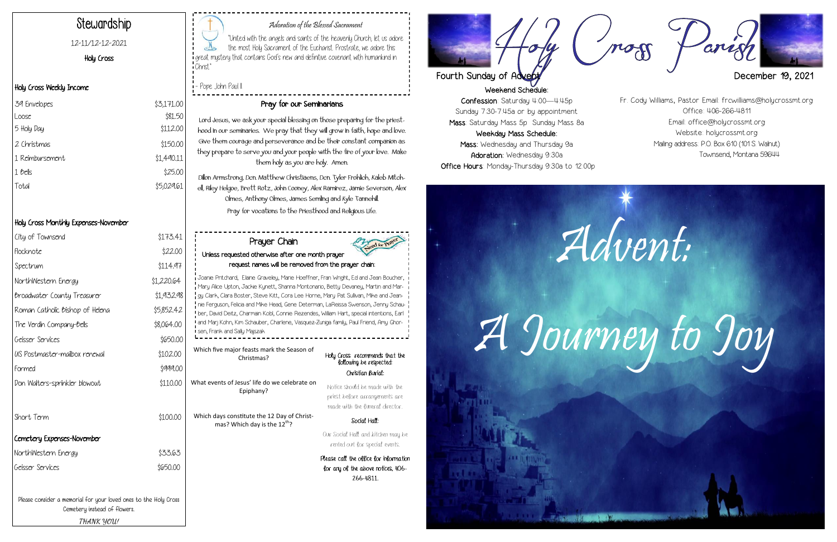Weekend Schedule: Confession: Saturday 4:00—4:45p Sunday 7:30-7:45a or by appointment Mass: Saturday Mass 5p Sunday Mass 8a Weekday Mass Schedule: Mass: Wednesday and Thursday 9a Adoration: Wednesday 9:30a Office Hours: Monday-Thursday 9:30a to 12:00p

#### Adoration of the Blessed Sacrament

"United with the angels and saints of the heavenly Church, let us adore the most Holy Sacrament of the Eucharist. Prostrate, we adore this great mystery that contains God's new and definitive covenant with humankind in Christ."

- Pope John Paul II

# Stewardship

#### 12-11/12-12-2021

Holy Cross

#### Holy Cross Weekly Income

### Holy Cross Monthly Expenses-November

| 39 Envelopes    | \$3,171.00 |
|-----------------|------------|
| Loose           | \$81.50    |
| 5 Holy Day      | \$112.00   |
| 2 Christmas     | \$150.00   |
| 1 Reimbursement | \$1,490.11 |
| 1 <i>bells</i>  | \$25.00    |
| Total           | \$5,029.61 |
|                 |            |

#### Pray for our Seminarians

Lord Jesus, we ask your special blessing on those preparing for the priesthood in our seminaries. We pray that they will grow in faith, hope and love. Give them courage and perseverance and be their constant companion as they prepare to serve you and your people with the fire of your love. Make them holy as you are holy. Amen.

Dillon Armstrong, Dcn. Matthew Christiaens, Dcn. Tyler Frohlich, Kaleb Mitchell, Riley Helgoe, Brett Rotz, John Cooney, Alex Ramirez, Jamie Severson, Alex Olmes, Anthony Olmes, James Semling and Kyle Tannehill. Pray for vocations to the Priesthood and Religious Life.

Please consider a memorial for your loved ones to the Holy Cross Cemetery instead of flowers.

**THANK YOU!**

| City of Townsend                | \$173.41   |
|---------------------------------|------------|
| Flocknote                       | \$22.00    |
| Spectrum                        | \$114.97   |
| NorthWestern Energy             | \$1,220.64 |
| Broadwater County Treasurer     | \$1,932.98 |
| Roman Catholic Bishop of Helena | \$5,852.42 |
| The Verdin Company-Bells        | \$8,064.00 |
| Geisser Services                | \$650.00   |
| US Postmaster-mailbox renewal   | \$102.00   |
| Formed                          | \$999.00   |
| Don Walters-sprinkler blowout   | \$110.00   |
| Short Term                      | \$100.00   |
| Cemetery Expenses-November      |            |
| NorthWestern Energy             | \$33.63    |
| Geisser Services                | \$650.00   |
|                                 |            |

|                                                          | Prayer Chain<br>leed for Prayer<br>Unless requested otherwise after one month prayer<br>request names will be removed from the prayer chain:                                                                                                                                                                                                                                                                                                                                                                                                                                            |                                                                                                     |
|----------------------------------------------------------|-----------------------------------------------------------------------------------------------------------------------------------------------------------------------------------------------------------------------------------------------------------------------------------------------------------------------------------------------------------------------------------------------------------------------------------------------------------------------------------------------------------------------------------------------------------------------------------------|-----------------------------------------------------------------------------------------------------|
|                                                          | Joanie Pritchard, Elaine Graveley, Marie Hoeffner, Fran Wright, Ed and Jean Boucher,<br>Mary Alice Upton, Jackie Kynett, Shanna Montonario, Betty Devaney, Martin and Mar-<br>gy Clark, Clara Boster, Steve Kitt, Cora Lee Horne, Mary Pat Sullivan, Mike and Jean-<br>nie Ferguson, Felicia and Mike Head, Gene Determan, LaReissa Swenson, Jenny Schau -<br>ber, David Deitz, Charmain Kobl, Connie Rezendes, William Hart, special intentions, Earl<br>and Marj Kohn, Kim Schauber, Charlene, Vasquez-Zuniga family, Paul Friend, Amy Ghor-<br><b>I</b> sen, Frank and Sally Majszak |                                                                                                     |
| Which five major feasts mark the Season of<br>Christmas? |                                                                                                                                                                                                                                                                                                                                                                                                                                                                                                                                                                                         | Holy Cross recommends that the<br>following be respected:                                           |
|                                                          |                                                                                                                                                                                                                                                                                                                                                                                                                                                                                                                                                                                         |                                                                                                     |
|                                                          |                                                                                                                                                                                                                                                                                                                                                                                                                                                                                                                                                                                         | Christian Burial:                                                                                   |
|                                                          | What events of Jesus' life do we celebrate on<br>Epiphany?                                                                                                                                                                                                                                                                                                                                                                                                                                                                                                                              | Notice should be made with the<br>priest before arrangements are<br>made with the funeral director. |
|                                                          | Which days constitute the 12 Day of Christ-<br>mas? Which day is the 12 <sup>th</sup> ?                                                                                                                                                                                                                                                                                                                                                                                                                                                                                                 | Social Hall:                                                                                        |
|                                                          |                                                                                                                                                                                                                                                                                                                                                                                                                                                                                                                                                                                         | Our Social Hall and kitchen may be<br>rented out for special events.                                |
|                                                          |                                                                                                                                                                                                                                                                                                                                                                                                                                                                                                                                                                                         | Please call the oblice for information<br>for any of the above notices, 406-<br>266-4811.           |

Fr. Cody Williams, Pastor Email: frcwilliams@holycrossmt.org Office: 406-266-4811 Email: office@holycrossmt.org Website: holycrossmt.org Mailing address: P.O. Box 610 (101 S. Walnut) Townsend, Montana 59644